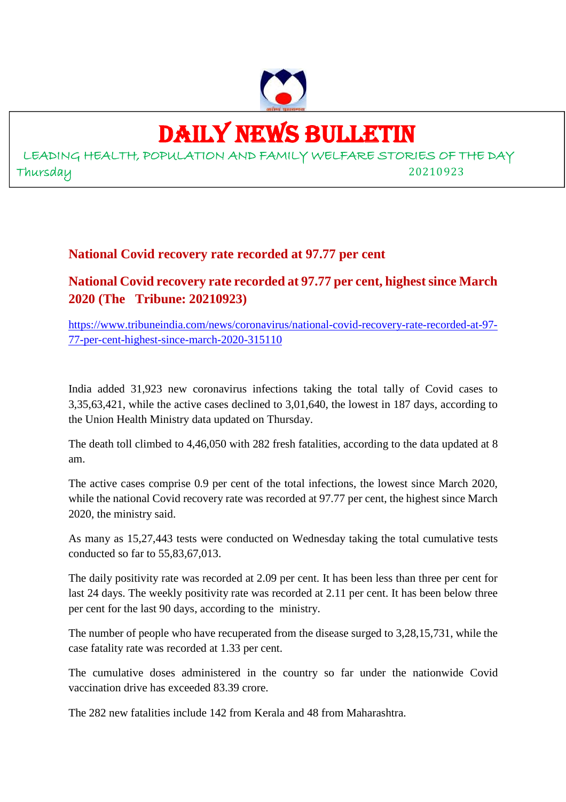

# DAILY NEWS BULLETIN

LEADING HEALTH, POPULATION AND FAMILY WELFARE STORIES OF THE DAY Thursday 20210923

## **National Covid recovery rate recorded at 97.77 per cent**

**National Covid recovery rate recorded at 97.77 per cent, highest since March 2020 (The Tribune: 20210923)**

https://www.tribuneindia.com/news/coronavirus/national-covid-recovery-rate-recorded-at-97- 77-per-cent-highest-since-march-2020-315110

India added 31,923 new coronavirus infections taking the total tally of Covid cases to 3,35,63,421, while the active cases declined to 3,01,640, the lowest in 187 days, according to the Union Health Ministry data updated on Thursday.

The death toll climbed to 4,46,050 with 282 fresh fatalities, according to the data updated at 8 am.

The active cases comprise 0.9 per cent of the total infections, the lowest since March 2020, while the national Covid recovery rate was recorded at 97.77 per cent, the highest since March 2020, the ministry said.

As many as 15,27,443 tests were conducted on Wednesday taking the total cumulative tests conducted so far to 55,83,67,013.

The daily positivity rate was recorded at 2.09 per cent. It has been less than three per cent for last 24 days. The weekly positivity rate was recorded at 2.11 per cent. It has been below three per cent for the last 90 days, according to the ministry.

The number of people who have recuperated from the disease surged to 3,28,15,731, while the case fatality rate was recorded at 1.33 per cent.

The cumulative doses administered in the country so far under the nationwide Covid vaccination drive has exceeded 83.39 crore.

The 282 new fatalities include 142 from Kerala and 48 from Maharashtra.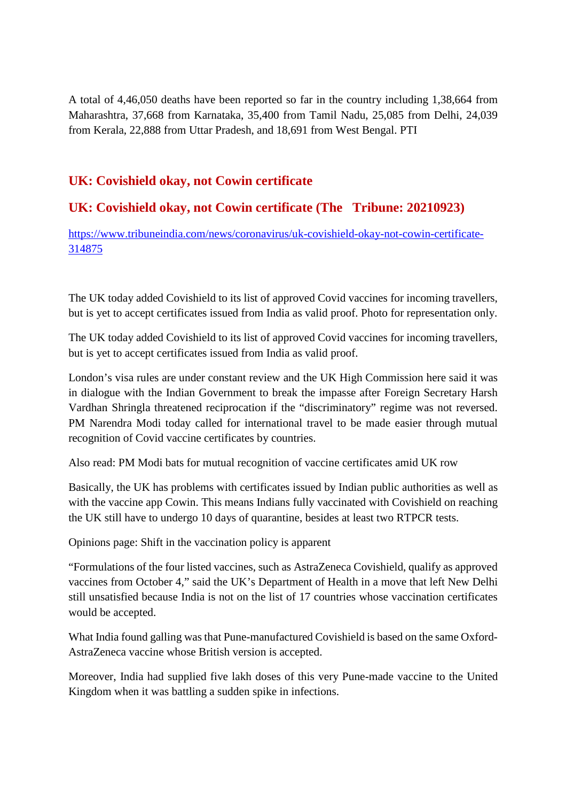A total of 4,46,050 deaths have been reported so far in the country including 1,38,664 from Maharashtra, 37,668 from Karnataka, 35,400 from Tamil Nadu, 25,085 from Delhi, 24,039 from Kerala, 22,888 from Uttar Pradesh, and 18,691 from West Bengal. PTI

## **UK: Covishield okay, not Cowin certificate**

## **UK: Covishield okay, not Cowin certificate (The Tribune: 20210923)**

https://www.tribuneindia.com/news/coronavirus/uk-covishield-okay-not-cowin-certificate-314875

The UK today added Covishield to its list of approved Covid vaccines for incoming travellers, but is yet to accept certificates issued from India as valid proof. Photo for representation only.

The UK today added Covishield to its list of approved Covid vaccines for incoming travellers, but is yet to accept certificates issued from India as valid proof.

London's visa rules are under constant review and the UK High Commission here said it was in dialogue with the Indian Government to break the impasse after Foreign Secretary Harsh Vardhan Shringla threatened reciprocation if the "discriminatory" regime was not reversed. PM Narendra Modi today called for international travel to be made easier through mutual recognition of Covid vaccine certificates by countries.

Also read: PM Modi bats for mutual recognition of vaccine certificates amid UK row

Basically, the UK has problems with certificates issued by Indian public authorities as well as with the vaccine app Cowin. This means Indians fully vaccinated with Covishield on reaching the UK still have to undergo 10 days of quarantine, besides at least two RTPCR tests.

Opinions page: Shift in the vaccination policy is apparent

"Formulations of the four listed vaccines, such as AstraZeneca Covishield, qualify as approved vaccines from October 4," said the UK's Department of Health in a move that left New Delhi still unsatisfied because India is not on the list of 17 countries whose vaccination certificates would be accepted.

What India found galling was that Pune-manufactured Covishield is based on the same Oxford-AstraZeneca vaccine whose British version is accepted.

Moreover, India had supplied five lakh doses of this very Pune-made vaccine to the United Kingdom when it was battling a sudden spike in infections.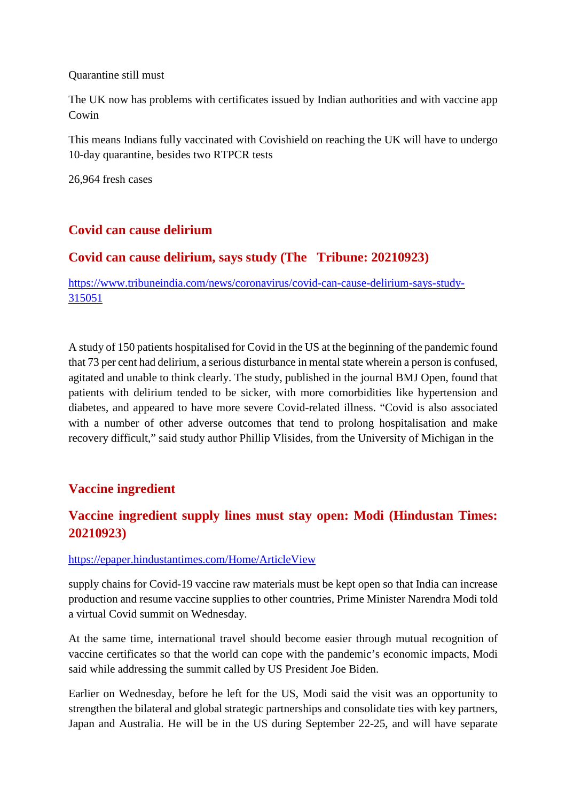#### Quarantine still must

The UK now has problems with certificates issued by Indian authorities and with vaccine app Cowin

This means Indians fully vaccinated with Covishield on reaching the UK will have to undergo 10-day quarantine, besides two RTPCR tests

26,964 fresh cases

## **Covid can cause delirium**

## **Covid can cause delirium, says study (The Tribune: 20210923)**

https://www.tribuneindia.com/news/coronavirus/covid-can-cause-delirium-says-study-315051

A study of 150 patients hospitalised for Covid in the US at the beginning of the pandemic found that 73 per cent had delirium, a serious disturbance in mental state wherein a person is confused, agitated and unable to think clearly. The study, published in the journal BMJ Open, found that patients with delirium tended to be sicker, with more comorbidities like hypertension and diabetes, and appeared to have more severe Covid-related illness. "Covid is also associated with a number of other adverse outcomes that tend to prolong hospitalisation and make recovery difficult," said study author Phillip Vlisides, from the University of Michigan in the

## **Vaccine ingredient**

## **Vaccine ingredient supply lines must stay open: Modi (Hindustan Times: 20210923)**

#### https://epaper.hindustantimes.com/Home/ArticleView

supply chains for Covid-19 vaccine raw materials must be kept open so that India can increase production and resume vaccine supplies to other countries, Prime Minister Narendra Modi told a virtual Covid summit on Wednesday.

At the same time, international travel should become easier through mutual recognition of vaccine certificates so that the world can cope with the pandemic's economic impacts, Modi said while addressing the summit called by US President Joe Biden.

Earlier on Wednesday, before he left for the US, Modi said the visit was an opportunity to strengthen the bilateral and global strategic partnerships and consolidate ties with key partners, Japan and Australia. He will be in the US during September 22-25, and will have separate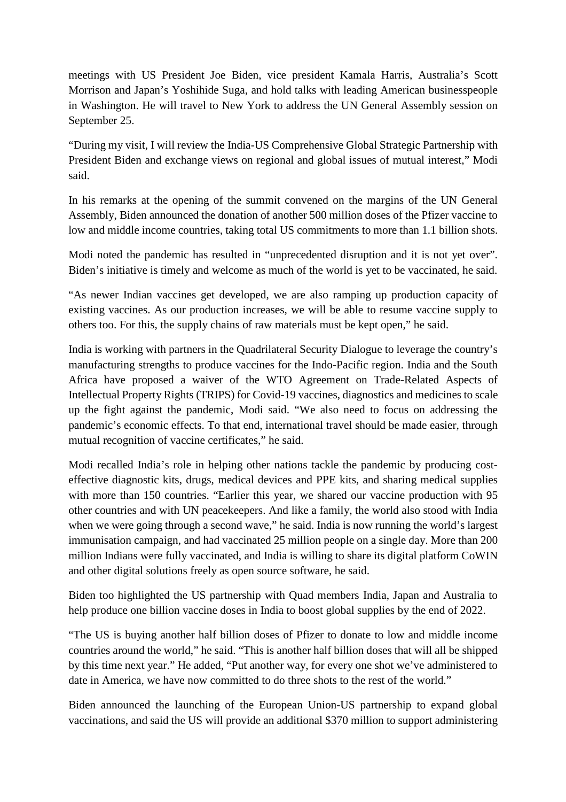meetings with US President Joe Biden, vice president Kamala Harris, Australia's Scott Morrison and Japan's Yoshihide Suga, and hold talks with leading American businesspeople in Washington. He will travel to New York to address the UN General Assembly session on September 25.

"During my visit, I will review the India-US Comprehensive Global Strategic Partnership with President Biden and exchange views on regional and global issues of mutual interest," Modi said.

In his remarks at the opening of the summit convened on the margins of the UN General Assembly, Biden announced the donation of another 500 million doses of the Pfizer vaccine to low and middle income countries, taking total US commitments to more than 1.1 billion shots.

Modi noted the pandemic has resulted in "unprecedented disruption and it is not yet over". Biden's initiative is timely and welcome as much of the world is yet to be vaccinated, he said.

"As newer Indian vaccines get developed, we are also ramping up production capacity of existing vaccines. As our production increases, we will be able to resume vaccine supply to others too. For this, the supply chains of raw materials must be kept open," he said.

India is working with partners in the Quadrilateral Security Dialogue to leverage the country's manufacturing strengths to produce vaccines for the Indo-Pacific region. India and the South Africa have proposed a waiver of the WTO Agreement on Trade-Related Aspects of Intellectual Property Rights (TRIPS) for Covid-19 vaccines, diagnostics and medicines to scale up the fight against the pandemic, Modi said. "We also need to focus on addressing the pandemic's economic effects. To that end, international travel should be made easier, through mutual recognition of vaccine certificates," he said.

Modi recalled India's role in helping other nations tackle the pandemic by producing costeffective diagnostic kits, drugs, medical devices and PPE kits, and sharing medical supplies with more than 150 countries. "Earlier this year, we shared our vaccine production with 95 other countries and with UN peacekeepers. And like a family, the world also stood with India when we were going through a second wave," he said. India is now running the world's largest immunisation campaign, and had vaccinated 25 million people on a single day. More than 200 million Indians were fully vaccinated, and India is willing to share its digital platform CoWIN and other digital solutions freely as open source software, he said.

Biden too highlighted the US partnership with Quad members India, Japan and Australia to help produce one billion vaccine doses in India to boost global supplies by the end of 2022.

"The US is buying another half billion doses of Pfizer to donate to low and middle income countries around the world," he said. "This is another half billion doses that will all be shipped by this time next year." He added, "Put another way, for every one shot we've administered to date in America, we have now committed to do three shots to the rest of the world."

Biden announced the launching of the European Union-US partnership to expand global vaccinations, and said the US will provide an additional \$370 million to support administering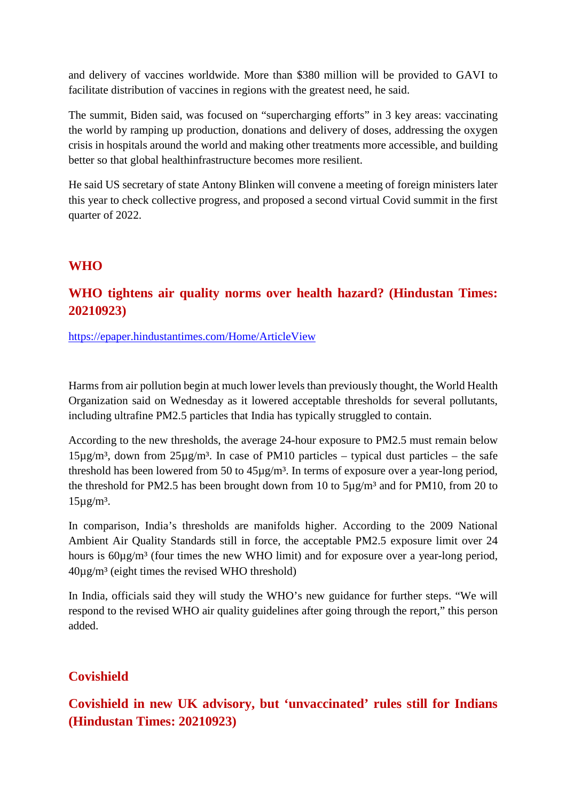and delivery of vaccines worldwide. More than \$380 million will be provided to GAVI to facilitate distribution of vaccines in regions with the greatest need, he said.

The summit, Biden said, was focused on "supercharging efforts" in 3 key areas: vaccinating the world by ramping up production, donations and delivery of doses, addressing the oxygen crisis in hospitals around the world and making other treatments more accessible, and building better so that global healthinfrastructure becomes more resilient.

He said US secretary of state Antony Blinken will convene a meeting of foreign ministers later this year to check collective progress, and proposed a second virtual Covid summit in the first quarter of 2022.

## **WHO**

## **WHO tightens air quality norms over health hazard? (Hindustan Times: 20210923)**

https://epaper.hindustantimes.com/Home/ArticleView

Harms from air pollution begin at much lower levels than previously thought, the World Health Organization said on Wednesday as it lowered acceptable thresholds for several pollutants, including ultrafine PM2.5 particles that India has typically struggled to contain.

According to the new thresholds, the average 24-hour exposure to PM2.5 must remain below  $15\mu\text{g/m}^3$ , down from  $25\mu\text{g/m}^3$ . In case of PM10 particles – typical dust particles – the safe threshold has been lowered from 50 to 45µg/m<sup>3</sup>. In terms of exposure over a year-long period, the threshold for PM2.5 has been brought down from 10 to  $5\mu g/m^3$  and for PM10, from 20 to  $15\mu g/m^3$ .

In comparison, India's thresholds are manifolds higher. According to the 2009 National Ambient Air Quality Standards still in force, the acceptable PM2.5 exposure limit over 24 hours is  $60\mu\text{g/m}^3$  (four times the new WHO limit) and for exposure over a year-long period,  $40\mu$ g/m<sup>3</sup> (eight times the revised WHO threshold)

In India, officials said they will study the WHO's new guidance for further steps. "We will respond to the revised WHO air quality guidelines after going through the report," this person added.

## **Covishield**

**Covishield in new UK advisory, but 'unvaccinated' rules still for Indians (Hindustan Times: 20210923)**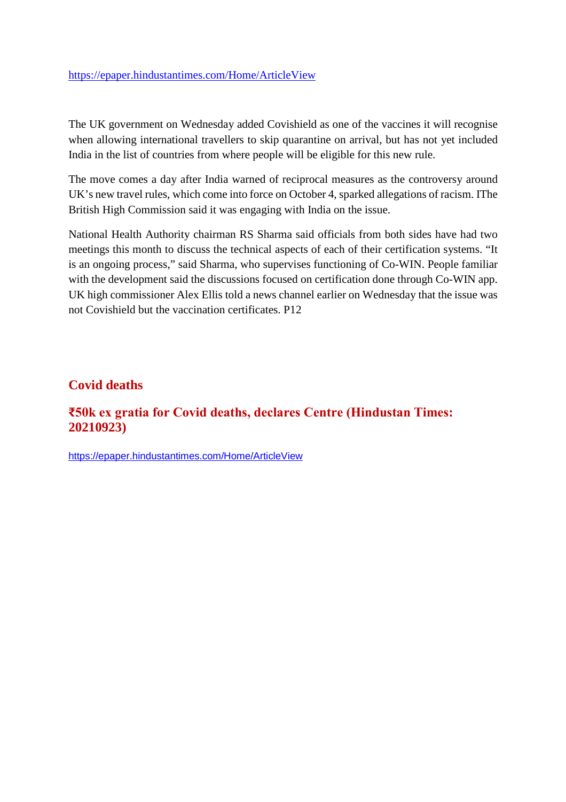https://epaper.hindustantimes.com/Home/ArticleView

The UK government on Wednesday added Covishield as one of the vaccines it will recognise when allowing international travellers to skip quarantine on arrival, but has not yet included India in the list of countries from where people will be eligible for this new rule.

The move comes a day after India warned of reciprocal measures as the controversy around UK's new travel rules, which come into force on October 4, sparked allegations of racism. IThe British High Commission said it was engaging with India on the issue.

National Health Authority chairman RS Sharma said officials from both sides have had two meetings this month to discuss the technical aspects of each of their certification systems. "It is an ongoing process," said Sharma, who supervises functioning of Co-WIN. People familiar with the development said the discussions focused on certification done through Co-WIN app. UK high commissioner Alex Ellis told a news channel earlier on Wednesday that the issue was not Covishield but the vaccination certificates. P12

## **Covid deaths**

## **₹50k ex gratia for Covid deaths, declares Centre (Hindustan Times: 20210923)**

https://epaper.hindustantimes.com/Home/ArticleView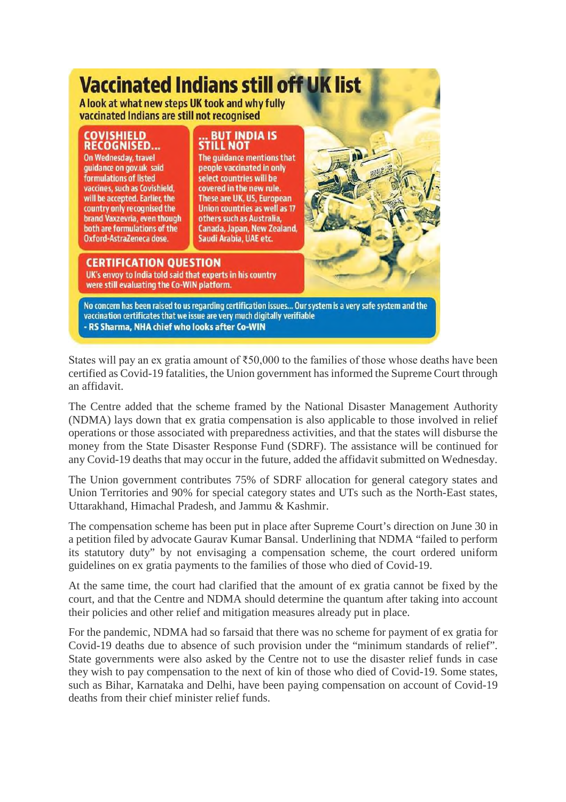## **Vaccinated Indians still off UK list**

A look at what new steps UK took and why fully vaccinated Indians are still not recognised

COVISHIELD **RECOGNISED...** On Wednesday, travel guidance on gov.uk said formulations of listed vaccines, such as Covishield, will be accepted. Earlier, the country only recognised the brand Vaxzevria, even though both are formulations of the Oxford-AstraZeneca dose.

# ... BUT INDIA IS<br>STILL NOT

The quidance mentions that people vaccinated in only select countries will be covered in the new rule. These are UK, US, European Union countries as well as 17 others such as Australia, Canada, Japan, New Zealand, Saudi Arabia, UAE etc.

## **CERTIFICATION QUESTION**

UK's envoy to India told said that experts in his country were still evaluating the Co-WIN platform.

No concern has been raised to us regarding certification issues... Our system is a very safe system and the vaccination certificates that we issue are very much digitally verifiable RS Sharma, NHA chief who looks after Co-WIN

States will pay an ex gratia amount of  $\overline{$}50,000$  to the families of those whose deaths have been certified as Covid-19 fatalities, the Union government has informed the Supreme Court through an affidavit.

The Centre added that the scheme framed by the National Disaster Management Authority (NDMA) lays down that ex gratia compensation is also applicable to those involved in relief operations or those associated with preparedness activities, and that the states will disburse the money from the State Disaster Response Fund (SDRF). The assistance will be continued for any Covid-19 deaths that may occur in the future, added the affidavit submitted on Wednesday.

The Union government contributes 75% of SDRF allocation for general category states and Union Territories and 90% for special category states and UTs such as the North-East states, Uttarakhand, Himachal Pradesh, and Jammu & Kashmir.

The compensation scheme has been put in place after Supreme Court's direction on June 30 in a petition filed by advocate Gaurav Kumar Bansal. Underlining that NDMA "failed to perform its statutory duty" by not envisaging a compensation scheme, the court ordered uniform guidelines on ex gratia payments to the families of those who died of Covid-19.

At the same time, the court had clarified that the amount of ex gratia cannot be fixed by the court, and that the Centre and NDMA should determine the quantum after taking into account their policies and other relief and mitigation measures already put in place.

For the pandemic, NDMA had so farsaid that there was no scheme for payment of ex gratia for Covid-19 deaths due to absence of such provision under the "minimum standards of relief". State governments were also asked by the Centre not to use the disaster relief funds in case they wish to pay compensation to the next of kin of those who died of Covid-19. Some states, such as Bihar, Karnataka and Delhi, have been paying compensation on account of Covid-19 deaths from their chief minister relief funds.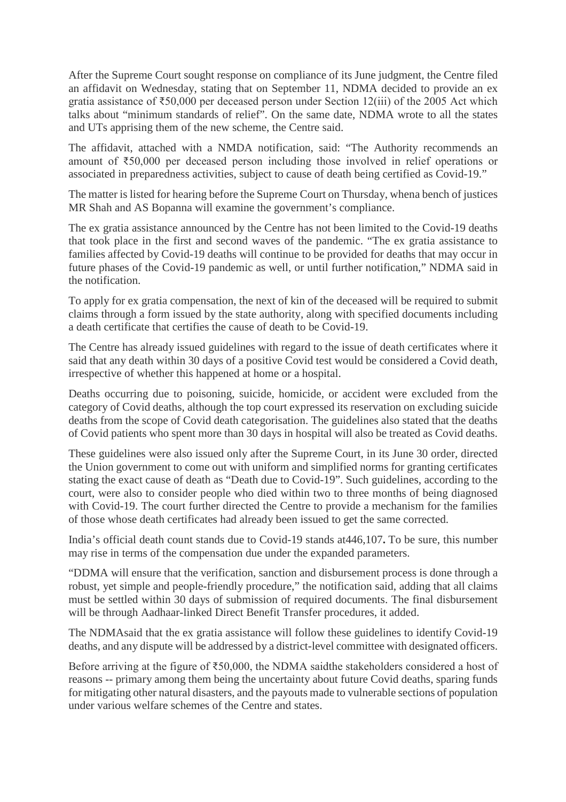After the Supreme Court sought response on compliance of its June judgment, the Centre filed an affidavit on Wednesday, stating that on September 11, NDMA decided to provide an ex gratia assistance of ₹50,000 per deceased person under Section 12(iii) of the 2005 Act which talks about "minimum standards of relief". On the same date, NDMA wrote to all the states and UTs apprising them of the new scheme, the Centre said.

The affidavit, attached with a NMDA notification, said: "The Authority recommends an amount of ₹50,000 per deceased person including those involved in relief operations or associated in preparedness activities, subject to cause of death being certified as Covid-19."

The matter is listed for hearing before the Supreme Court on Thursday, whena bench of justices MR Shah and AS Bopanna will examine the government's compliance.

The ex gratia assistance announced by the Centre has not been limited to the Covid-19 deaths that took place in the first and second waves of the pandemic. "The ex gratia assistance to families affected by Covid-19 deaths will continue to be provided for deaths that may occur in future phases of the Covid-19 pandemic as well, or until further notification," NDMA said in the notification.

To apply for ex gratia compensation, the next of kin of the deceased will be required to submit claims through a form issued by the state authority, along with specified documents including a death certificate that certifies the cause of death to be Covid-19.

The Centre has already issued guidelines with regard to the issue of death certificates where it said that any death within 30 days of a positive Covid test would be considered a Covid death, irrespective of whether this happened at home or a hospital.

Deaths occurring due to poisoning, suicide, homicide, or accident were excluded from the category of Covid deaths, although the top court expressed its reservation on excluding suicide deaths from the scope of Covid death categorisation. The guidelines also stated that the deaths of Covid patients who spent more than 30 days in hospital will also be treated as Covid deaths.

These guidelines were also issued only after the Supreme Court, in its June 30 order, directed the Union government to come out with uniform and simplified norms for granting certificates stating the exact cause of death as "Death due to Covid-19". Such guidelines, according to the court, were also to consider people who died within two to three months of being diagnosed with Covid-19. The court further directed the Centre to provide a mechanism for the families of those whose death certificates had already been issued to get the same corrected.

India's official death count stands due to Covid-19 stands at446,107**.** To be sure, this number may rise in terms of the compensation due under the expanded parameters.

"DDMA will ensure that the verification, sanction and disbursement process is done through a robust, yet simple and people-friendly procedure," the notification said, adding that all claims must be settled within 30 days of submission of required documents. The final disbursement will be through Aadhaar-linked Direct Benefit Transfer procedures, it added.

The NDMAsaid that the ex gratia assistance will follow these guidelines to identify Covid-19 deaths, and any dispute will be addressed by a district-level committee with designated officers.

Before arriving at the figure of ₹50,000, the NDMA saidthe stakeholders considered a host of reasons -- primary among them being the uncertainty about future Covid deaths, sparing funds for mitigating other natural disasters, and the payouts made to vulnerable sections of population under various welfare schemes of the Centre and states.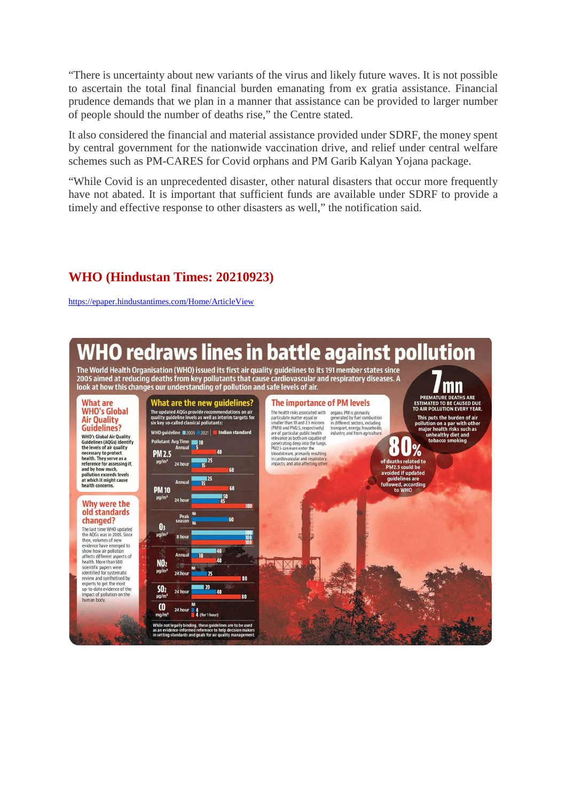"There is uncertainty about new variants of the virus and likely future waves. It is not possible to ascertain the total final financial burden emanating from ex gratia assistance. Financial prudence demands that we plan in a manner that assistance can be provided to larger number of people should the number of deaths rise," the Centre stated.

It also considered the financial and material assistance provided under SDRF, the money spent by central government for the nationwide vaccination drive, and relief under central welfare schemes such as PM-CARES for Covid orphans and PM Garib Kalyan Yojana package.

"While Covid is an unprecedented disaster, other natural disasters that occur more frequently have not abated. It is important that sufficient funds are available under SDRF to provide a timely and effective response to other disasters as well," the notification said.

## **WHO (Hindustan Times: 20210923)**

https://epaper.hindustantimes.com/Home/ArticleView

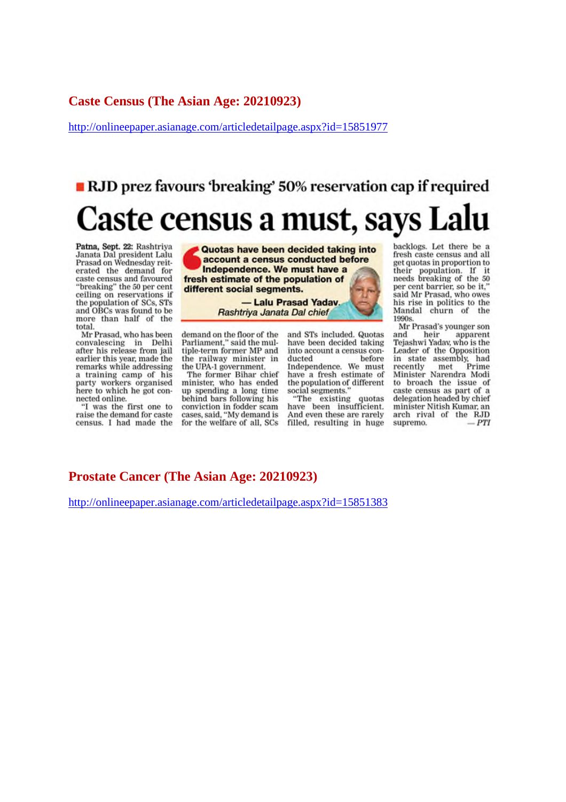#### **Caste Census (The Asian Age: 20210923)**

http://onlineepaper.asianage.com/articledetailpage.aspx?id=15851977

# ■ RJD prez favours 'breaking' 50% reservation cap if required Caste census a must, says Lalu

Patna, Sept. 22: Rashtriya Janata Dal president Lalu Prasad on Wednesday reiterated the demand for caste census and favoured "breaking" the 50 per cent ceiling on reservations if the population of SCs. STs and OBCs was found to be more than half of the total.

Mr Prasad, who has been convalescing in Delhi after his release from jail earlier this year, made the remarks while addressing a training camp of his party workers organised here to which he got connected online.

"I was the first one to raise the demand for caste census. I had made the

Quotas have been decided taking into account a census conducted before Independence. We must have a fresh estimate of the population of different social segments.

> - Lalu Prasad Yaday. Rashtriya Janata Dal chief

demand on the floor of the Parliament." said the multiple-term former MP and the railway minister in the UPA-1 government.

The former Bihar chief minister, who has ended up spending a long time behind bars following his conviction in fodder scam<br>cases, said, "My demand is for the welfare of all, SCs and STs included. Quotas have been decided taking into account a census conducted before Independence. We must have a fresh estimate of the population of different social segments.

"The existing quotas have been insufficient.<br>And even these are rarely filled, resulting in huge backlogs. Let there be a fresh caste census and all get quotas in proportion to their population. If it<br>needs breaking of the 50 per cent barrier, so be it." said Mr Prasad, who owes his rise in politics to the Mandal churn of the 1990s.

Mr Prasad's younger son and heir apparent Tejashwi Yaday, who is the Leader of the Opposition in state assembly, had Prime recently met Minister Narendra Modi to broach the issue of caste census as part of a delegation headed by chief minister Nitish Kumar, an arch rival of the RJD supremo.  $-PTI$ 

#### **Prostate Cancer (The Asian Age: 20210923)**

http://onlineepaper.asianage.com/articledetailpage.aspx?id=15851383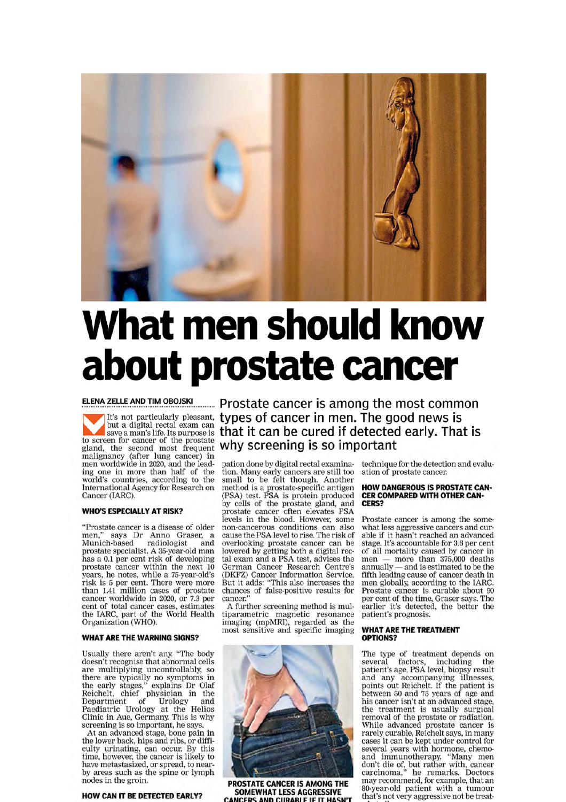

# What men should know about prostate cancer

#### ELENA ZELLE AND TIM OBOJSKI

but a digital rectal exam can save a man's life. Its purpose is **that it can be cured if detected**<br>to screen for cancer of the prostate<br>gland, the second most frequent **why screening is so important**<br>malignancy (after lung cancer) in<br>men worldwide in 2 ing one in more than half of the<br>world's countries, according to the International Agency for Research on Cancer (IARC).

#### **WHO'S ESPECIALLY AT RISK?**

"Prostate cancer is a disease of older<br>men," says Dr Anno Graser, a<br>Munich-based radiologist and prostate specialist. A 35-year-old man has a 0.1 per cent risk of developing prostate cancer within the next 10 years, he notes, while a 75-year-old's risk is 5 per cent. There were more than 1.41 million cases of prostate cancer worldwide in 2020, or 7.3 per cent of total cancer cases, estimates<br>the IARC, part of the World Health<br>Organization (WHO).

#### **WHAT ARE THE WARNING SIGNS?**

Usually there aren't any. "The body doesn't recognise that abnormal cells doesn't recognise that abnormal cells<br>are multiplying uncontrollably, so<br>there are typically no symptoms in<br>the early stages," explains Dr Olaf<br>Reichelt, chief physician in the<br>Department of Urology and<br>Paediatric Urology screening is so important, he says.

At an advanced stage, bone pain in<br>the lower back, hips and ribs, or difficulty urinating, can occur. By this time, however, the cancer is likely to have metastasized, or spread, to nearby areas such as the spine or lymph nodes in the groin.

#### **HOW CAN IT BE DETECTED EARLY?**

Prostate cancer is among the most common It's not particularly pleasant, types of cancer in men. The good news is that it can be cured if detected early. That is

> tion. Many early cancers are still too<br>small to be felt though. Another sman to be ent though. Another<br>method is a prostate-specific antigen<br>(PSA) test. PSA is protein produced<br>by cells of the prostate gland, and<br>prostate cancer often\_elevates\_PSA levels in the blood. However, some<br>non-cancerous conditions can also cause the PSA level to rise. The risk of overlooking prostate cancer can be lowered by getting both a digital rec-<br>tal exam and a PSA test, advises the Lau exam and a PSA test, advises the<br>German Cancer Research Centre's<br>(DKFZ) Cancer Information Service.<br>But it adds: "This also increases the<br>chances of false-positive results for<br>cancer."

> A further screening method is multiparametric magnetic resonance<br>imaging (mpMRI), regarded as the<br>most sensitive and specific imaging



PROSTATE CANCER IS AMONG THE SOMEWHAT LESS AGGRESSIVE ND CURARLE IF IT HASN

technique for the detection and evaluation of prostate cancer.

#### **HOW DANGEROUS IS PROSTATE CAN-CER COMPARED WITH OTHER CAN-**CFRS?

Prostate cancer is among the somewhat less aggressive cancers and curable if it hasn't reached an advanced stage. It's accountable for 3.8 per cent of all mortality caused by cancer in<br>men — more than 375,000 deaths men annually - and is estimated to be the fifth leading cause of cancer death in men globally, according to the IARC. Prostate cancer is curable about 90 per cent of the time, Graser says. The earlier it's detected, the better the patient's prognosis.

#### **WHAT ARE THE TREATMENT** OPTIONS?

The type of treatment depends on<br>several factors, including the<br>patient's age, PSA level, biopsy result<br>and any accompanying illnesses,<br>points out Reichelt. If the patient is<br>between 50 and 75 years of age and his cancer isn't at an advanced stage, the treatment is usually surgical removal of the prostate or radiation. While advanced prostate cancer is<br>rarely curable, Reichelt says, in many cases it can be kept under control for several years with hormone, chemoand immunotherapy. "Many men don't die of, but rather with, cancer<br>carcinoma," he remarks. Doctors may recommend, for example, that an 80-year-old patient with a tumour that's not very aggressive not be treat-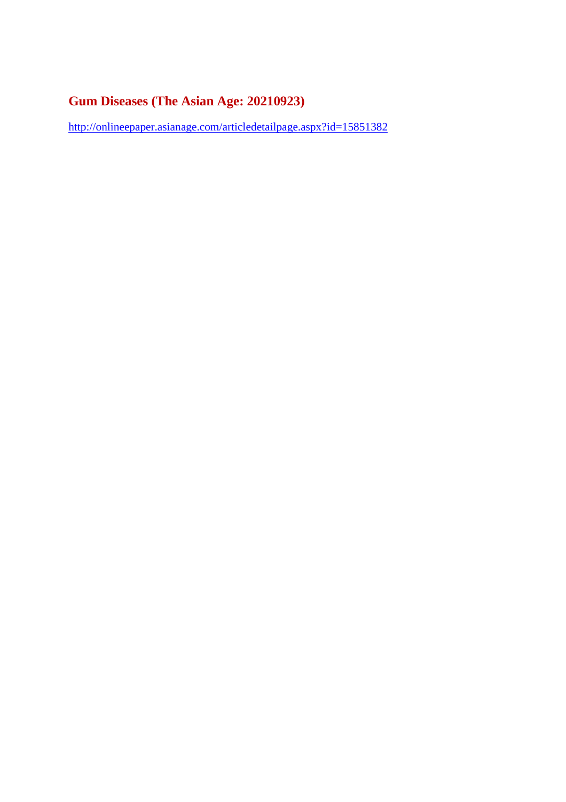## **Gum Diseases (The Asian Age: 20210923)**

http://onlineepaper.asianage.com/articledetailpage.aspx?id=15851382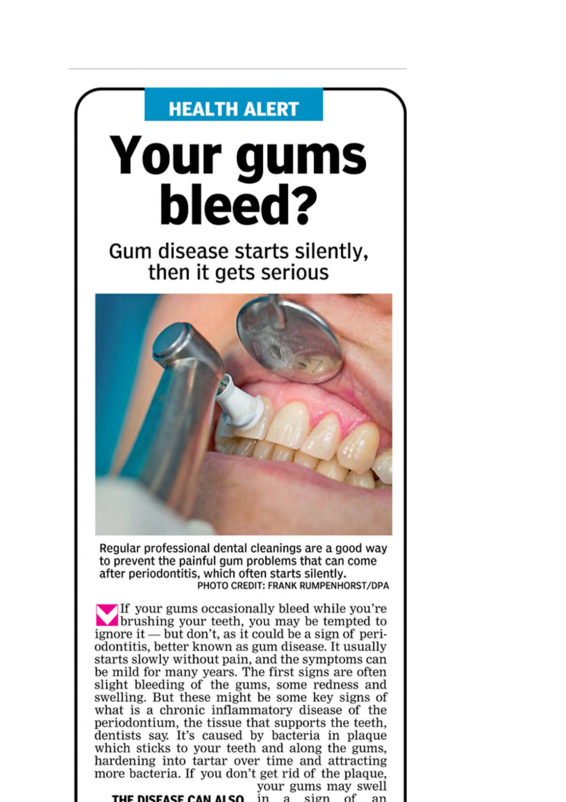## **HEALTH ALERT**

# Your gums bleed?

Gum disease starts silently, then it gets serious



Regular professional dental cleanings are a good way to prevent the painful gum problems that can come after periodontitis, which often starts silently. PHOTO CREDIT: FRANK RUMPENHORST/DPA

If your gums occasionally bleed while you're **Solution** brushing your teeth, you may be tempted to ignore it — but don't, as it could be a sign of periodontitis, better known as gum disease. It usually starts slowly without pain, and the symptoms can be mild for many years. The first signs are often slight bleeding of the gums, some redness and swelling. But these might be some key signs of what is a chronic inflammatory disease of the periodontium, the tissue that supports the teeth, dentists say. It's caused by bacteria in plaque which sticks to your teeth and along the gums, hardening into tartar over time and attracting more bacteria. If you don't get rid of the plaque,

**THE DISEASE CAN ALSO** in a sign of an

your gums may swell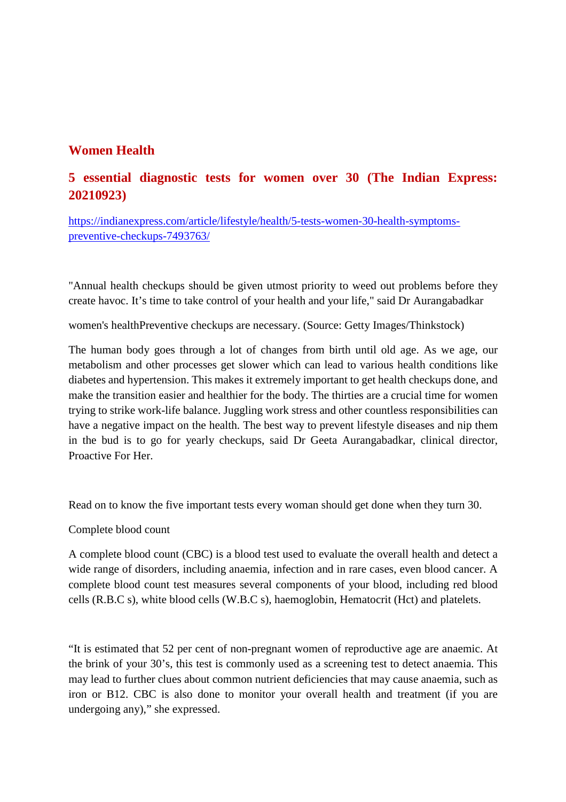## **Women Health**

## **5 essential diagnostic tests for women over 30 (The Indian Express: 20210923)**

https://indianexpress.com/article/lifestyle/health/5-tests-women-30-health-symptomspreventive-checkups-7493763/

"Annual health checkups should be given utmost priority to weed out problems before they create havoc. It's time to take control of your health and your life," said Dr Aurangabadkar

women's healthPreventive checkups are necessary. (Source: Getty Images/Thinkstock)

The human body goes through a lot of changes from birth until old age. As we age, our metabolism and other processes get slower which can lead to various health conditions like diabetes and hypertension. This makes it extremely important to get health checkups done, and make the transition easier and healthier for the body. The thirties are a crucial time for women trying to strike work-life balance. Juggling work stress and other countless responsibilities can have a negative impact on the health. The best way to prevent lifestyle diseases and nip them in the bud is to go for yearly checkups, said Dr Geeta Aurangabadkar, clinical director, Proactive For Her.

Read on to know the five important tests every woman should get done when they turn 30.

Complete blood count

A complete blood count (CBC) is a blood test used to evaluate the overall health and detect a wide range of disorders, including anaemia, infection and in rare cases, even blood cancer. A complete blood count test measures several components of your blood, including red blood cells (R.B.C s), white blood cells (W.B.C s), haemoglobin, Hematocrit (Hct) and platelets.

"It is estimated that 52 per cent of non-pregnant women of reproductive age are anaemic. At the brink of your 30's, this test is commonly used as a screening test to detect anaemia. This may lead to further clues about common nutrient deficiencies that may cause anaemia, such as iron or B12. CBC is also done to monitor your overall health and treatment (if you are undergoing any)," she expressed.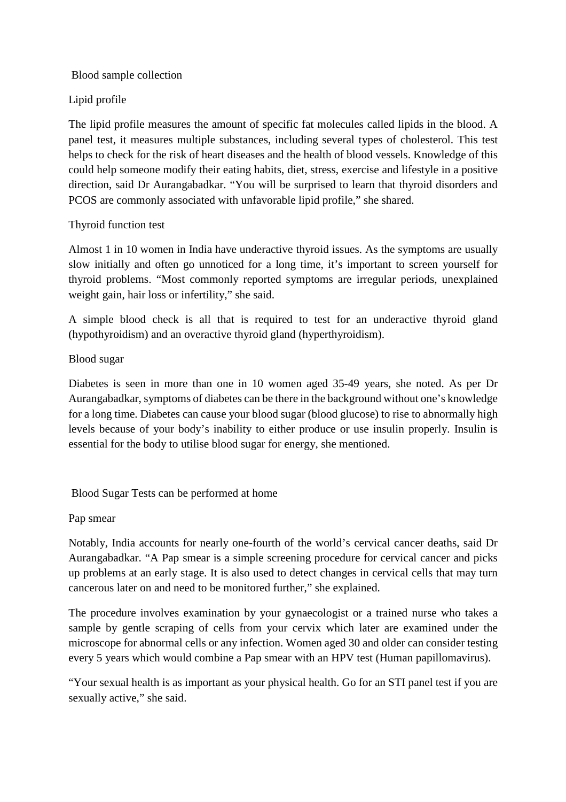#### Blood sample collection

### Lipid profile

The lipid profile measures the amount of specific fat molecules called lipids in the blood. A panel test, it measures multiple substances, including several types of cholesterol. This test helps to check for the risk of heart diseases and the health of blood vessels. Knowledge of this could help someone modify their eating habits, diet, stress, exercise and lifestyle in a positive direction, said Dr Aurangabadkar. "You will be surprised to learn that thyroid disorders and PCOS are commonly associated with unfavorable lipid profile," she shared.

#### Thyroid function test

Almost 1 in 10 women in India have underactive thyroid issues. As the symptoms are usually slow initially and often go unnoticed for a long time, it's important to screen yourself for thyroid problems. "Most commonly reported symptoms are irregular periods, unexplained weight gain, hair loss or infertility," she said.

A simple blood check is all that is required to test for an underactive thyroid gland (hypothyroidism) and an overactive thyroid gland (hyperthyroidism).

## Blood sugar

Diabetes is seen in more than one in 10 women aged 35-49 years, she noted. As per Dr Aurangabadkar, symptoms of diabetes can be there in the background without one's knowledge for a long time. Diabetes can cause your blood sugar (blood glucose) to rise to abnormally high levels because of your body's inability to either produce or use insulin properly. Insulin is essential for the body to utilise blood sugar for energy, she mentioned.

Blood Sugar Tests can be performed at home

#### Pap smear

Notably, India accounts for nearly one-fourth of the world's cervical cancer deaths, said Dr Aurangabadkar. "A Pap smear is a simple screening procedure for cervical cancer and picks up problems at an early stage. It is also used to detect changes in cervical cells that may turn cancerous later on and need to be monitored further," she explained.

The procedure involves examination by your gynaecologist or a trained nurse who takes a sample by gentle scraping of cells from your cervix which later are examined under the microscope for abnormal cells or any infection. Women aged 30 and older can consider testing every 5 years which would combine a Pap smear with an HPV test (Human papillomavirus).

"Your sexual health is as important as your physical health. Go for an STI panel test if you are sexually active," she said.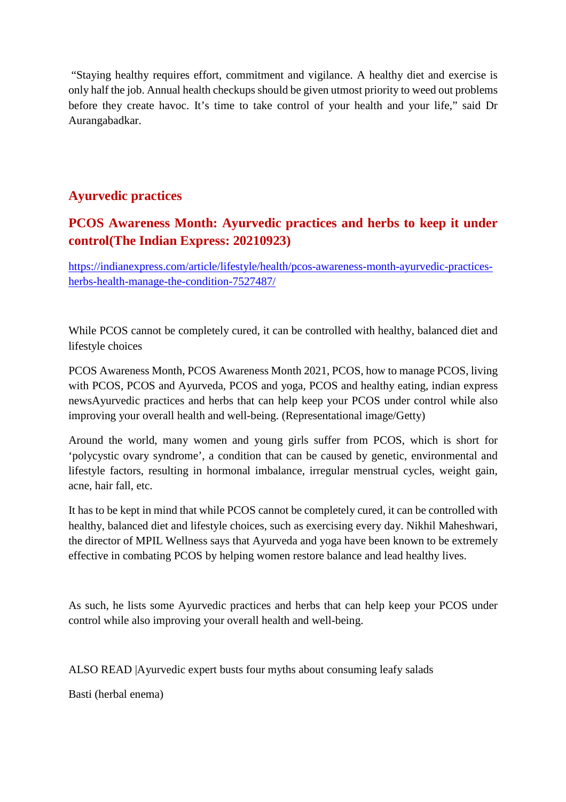"Staying healthy requires effort, commitment and vigilance. A healthy diet and exercise is only half the job. Annual health checkups should be given utmost priority to weed out problems before they create havoc. It's time to take control of your health and your life," said Dr Aurangabadkar.

## **Ayurvedic practices**

## **PCOS Awareness Month: Ayurvedic practices and herbs to keep it under control(The Indian Express: 20210923)**

https://indianexpress.com/article/lifestyle/health/pcos-awareness-month-ayurvedic-practicesherbs-health-manage-the-condition-7527487/

While PCOS cannot be completely cured, it can be controlled with healthy, balanced diet and lifestyle choices

PCOS Awareness Month, PCOS Awareness Month 2021, PCOS, how to manage PCOS, living with PCOS, PCOS and Ayurveda, PCOS and yoga, PCOS and healthy eating, indian express newsAyurvedic practices and herbs that can help keep your PCOS under control while also improving your overall health and well-being. (Representational image/Getty)

Around the world, many women and young girls suffer from PCOS, which is short for 'polycystic ovary syndrome', a condition that can be caused by genetic, environmental and lifestyle factors, resulting in hormonal imbalance, irregular menstrual cycles, weight gain, acne, hair fall, etc.

It has to be kept in mind that while PCOS cannot be completely cured, it can be controlled with healthy, balanced diet and lifestyle choices, such as exercising every day. Nikhil Maheshwari, the director of MPIL Wellness says that Ayurveda and yoga have been known to be extremely effective in combating PCOS by helping women restore balance and lead healthy lives.

As such, he lists some Ayurvedic practices and herbs that can help keep your PCOS under control while also improving your overall health and well-being.

ALSO READ |Ayurvedic expert busts four myths about consuming leafy salads

Basti (herbal enema)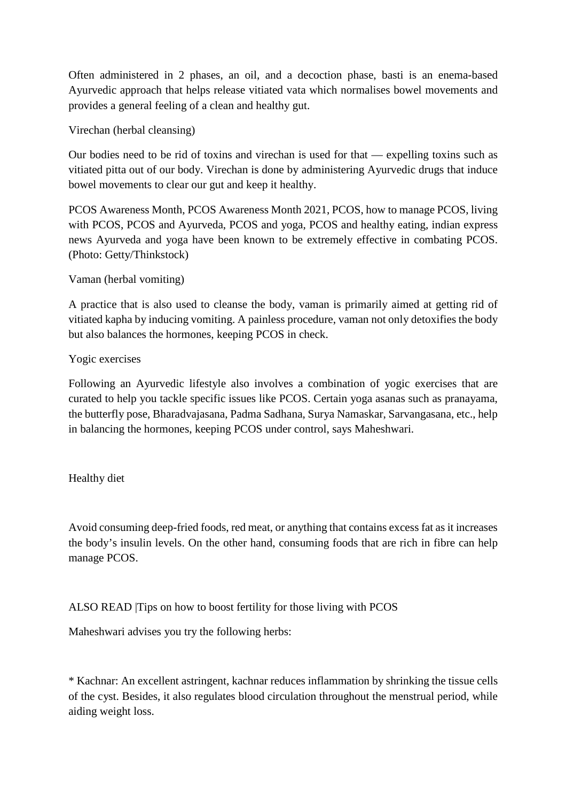Often administered in 2 phases, an oil, and a decoction phase, basti is an enema-based Ayurvedic approach that helps release vitiated vata which normalises bowel movements and provides a general feeling of a clean and healthy gut.

Virechan (herbal cleansing)

Our bodies need to be rid of toxins and virechan is used for that — expelling toxins such as vitiated pitta out of our body. Virechan is done by administering Ayurvedic drugs that induce bowel movements to clear our gut and keep it healthy.

PCOS Awareness Month, PCOS Awareness Month 2021, PCOS, how to manage PCOS, living with PCOS, PCOS and Ayurveda, PCOS and yoga, PCOS and healthy eating, indian express news Ayurveda and yoga have been known to be extremely effective in combating PCOS. (Photo: Getty/Thinkstock)

Vaman (herbal vomiting)

A practice that is also used to cleanse the body, vaman is primarily aimed at getting rid of vitiated kapha by inducing vomiting. A painless procedure, vaman not only detoxifies the body but also balances the hormones, keeping PCOS in check.

Yogic exercises

Following an Ayurvedic lifestyle also involves a combination of yogic exercises that are curated to help you tackle specific issues like PCOS. Certain yoga asanas such as pranayama, the butterfly pose, Bharadvajasana, Padma Sadhana, Surya Namaskar, Sarvangasana, etc., help in balancing the hormones, keeping PCOS under control, says Maheshwari.

Healthy diet

Avoid consuming deep-fried foods, red meat, or anything that contains excess fat as it increases the body's insulin levels. On the other hand, consuming foods that are rich in fibre can help manage PCOS.

ALSO READ |Tips on how to boost fertility for those living with PCOS

Maheshwari advises you try the following herbs:

\* Kachnar: An excellent astringent, kachnar reduces inflammation by shrinking the tissue cells of the cyst. Besides, it also regulates blood circulation throughout the menstrual period, while aiding weight loss.